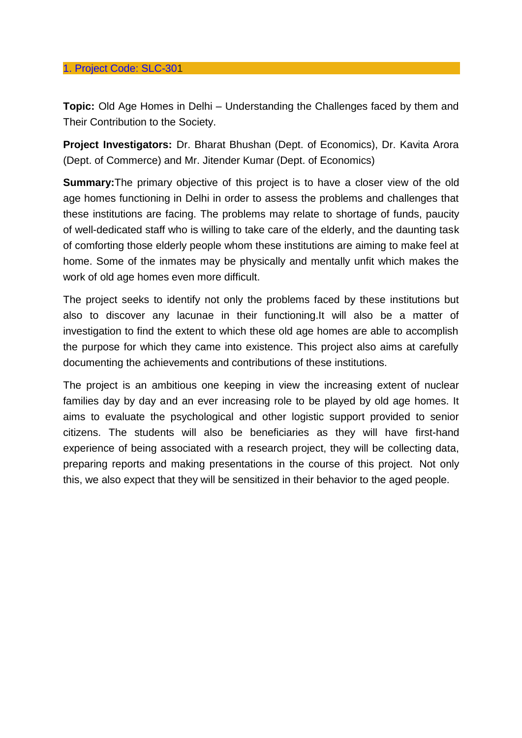## 1. Project Code: [SLC-301](http://slc.du.ac.in/completed-project.php#Project2)

**Topic:** Old Age Homes in Delhi – Understanding the Challenges faced by them and Their Contribution to the Society.

**Project Investigators:** Dr. Bharat Bhushan (Dept. of Economics), Dr. Kavita Arora (Dept. of Commerce) and Mr. Jitender Kumar (Dept. of Economics)

**Summary:**The primary objective of this project is to have a closer view of the old age homes functioning in Delhi in order to assess the problems and challenges that these institutions are facing. The problems may relate to shortage of funds, paucity of well-dedicated staff who is willing to take care of the elderly, and the daunting task of comforting those elderly people whom these institutions are aiming to make feel at home. Some of the inmates may be physically and mentally unfit which makes the work of old age homes even more difficult.

The project seeks to identify not only the problems faced by these institutions but also to discover any lacunae in their functioning.It will also be a matter of investigation to find the extent to which these old age homes are able to accomplish the purpose for which they came into existence. This project also aims at carefully documenting the achievements and contributions of these institutions.

The project is an ambitious one keeping in view the increasing extent of nuclear families day by day and an ever increasing role to be played by old age homes. It aims to evaluate the psychological and other logistic support provided to senior citizens. The students will also be beneficiaries as they will have first-hand experience of being associated with a research project, they will be collecting data, preparing reports and making presentations in the course of this project. Not only this, we also expect that they will be sensitized in their behavior to the aged people.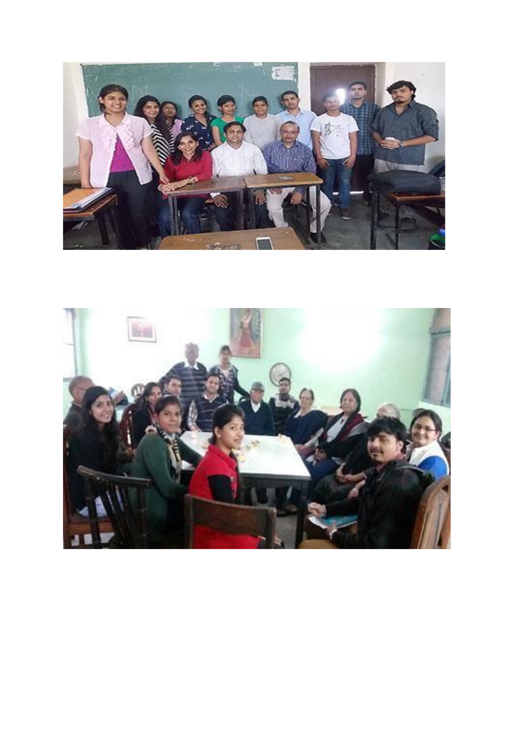